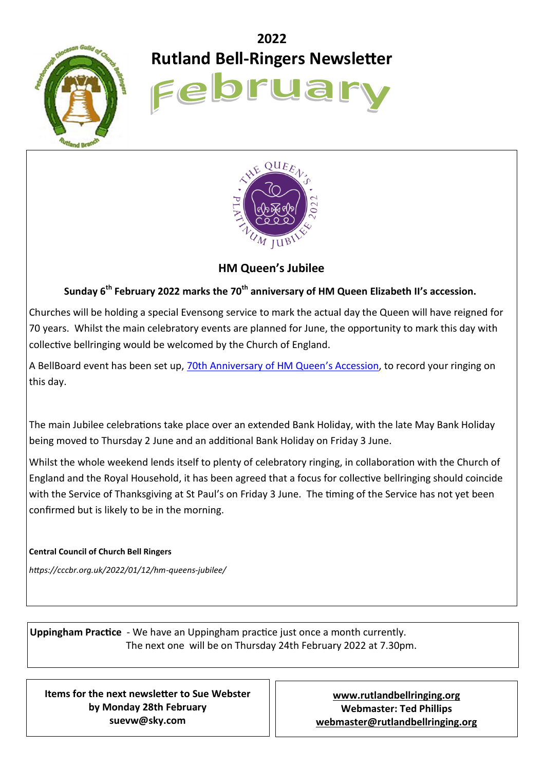

# **2022 Rutland Bell-Ringers Newsletter**

Februa



**HM Queen's Jubilee**

# **Sunday 6th February 2022 marks the 70th anniversary of HM Queen Elizabeth II's accession.**

Churches will be holding a special Evensong service to mark the actual day the Queen will have reigned for 70 years. Whilst the main celebratory events are planned for June, the opportunity to mark this day with collective bellringing would be welcomed by the Church of England.

A BellBoard event has been set up, [70th Anniversary of HM Queen](https://bb.ringingworld.co.uk/event.php?id=14296)'s Accession, to record your ringing on this day.

The main Jubilee celebrations take place over an extended Bank Holiday, with the late May Bank Holiday being moved to Thursday 2 June and an additional Bank Holiday on Friday 3 June.

Whilst the whole weekend lends itself to plenty of celebratory ringing, in collaboration with the Church of England and the Royal Household, it has been agreed that a focus for collective bellringing should coincide with the Service of Thanksgiving at St Paul's on Friday 3 June. The timing of the Service has not yet been confirmed but is likely to be in the morning.

### **Central Council of Church Bell Ringers**

*https://cccbr.org.uk/2022/01/12/hm-queens-jubilee/*

**Uppingham Practice** - We have an Uppingham practice just once a month currently. The next one will be on Thursday 24th February 2022 at 7.30pm.

**Items for the next newsletter to Sue Webster by Monday 28th February suevw@sky.com**

**[www.rutlandbellringing.org](http://www.rutlandbellringing.org) Webmaster: Ted Phillips [webmaster@rutlandbellringing.org](mailto:webmaster@rutlandbellringing.org)**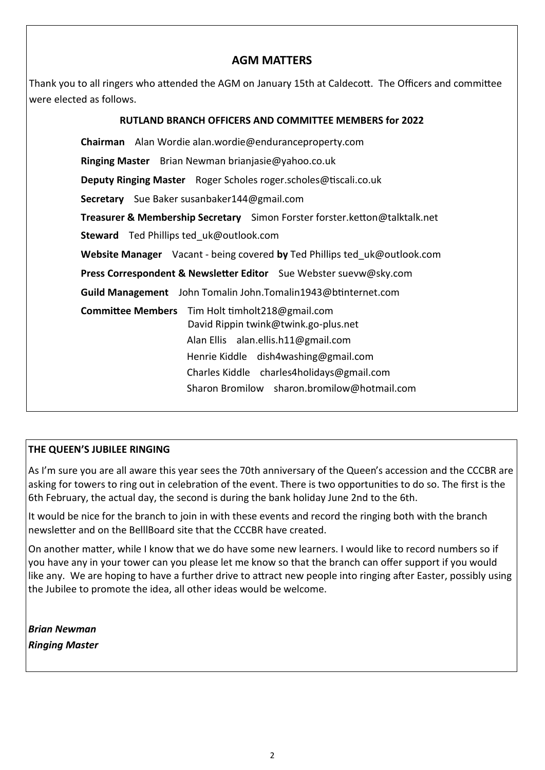## **AGM MATTERS**

Thank you to all ringers who attended the AGM on January 15th at Caldecott. The Officers and committee were elected as follows.

| <b>RUTLAND BRANCH OFFICERS AND COMMITTEE MEMBERS for 2022</b>                                                                                                                                                                 |
|-------------------------------------------------------------------------------------------------------------------------------------------------------------------------------------------------------------------------------|
| Chairman Alan Wordie alan.wordie@enduranceproperty.com                                                                                                                                                                        |
| Ringing Master Brian Newman brianjasie@yahoo.co.uk                                                                                                                                                                            |
| <b>Deputy Ringing Master</b> Roger Scholes roger.scholes@tiscali.co.uk                                                                                                                                                        |
| <b>Secretary</b> Sue Baker susanbaker144@gmail.com                                                                                                                                                                            |
| Treasurer & Membership Secretary Simon Forster forster.ketton@talktalk.net                                                                                                                                                    |
| <b>Steward</b> Ted Phillips ted uk@outlook.com                                                                                                                                                                                |
| Website Manager Vacant - being covered by Ted Phillips ted uk@outlook.com                                                                                                                                                     |
| Press Correspondent & Newsletter Editor Sue Webster suevw@sky.com                                                                                                                                                             |
| Guild Management John Tomalin John. Tomalin 1943@btinternet.com                                                                                                                                                               |
| <b>Committee Members</b><br>Tim Holt timholt218@gmail.com<br>David Rippin twink@twink.go-plus.net<br>Alan Ellis alan.ellis.h11@gmail.com<br>Henrie Kiddle dish4washing@gmail.com<br>Charles Kiddle charles4holidays@gmail.com |
| Sharon Bromilow sharon.bromilow@hotmail.com                                                                                                                                                                                   |

## **THE QUEEN'S JUBILEE RINGING**

As I'm sure you are all aware this year sees the 70th anniversary of the Queen's accession and the CCCBR are asking for towers to ring out in celebration of the event. There is two opportunities to do so. The first is the 6th February, the actual day, the second is during the bank holiday June 2nd to the 6th.

It would be nice for the branch to join in with these events and record the ringing both with the branch newsletter and on the BelllBoard site that the CCCBR have created.

On another matter, while I know that we do have some new learners. I would like to record numbers so if you have any in your tower can you please let me know so that the branch can offer support if you would like any. We are hoping to have a further drive to attract new people into ringing after Easter, possibly using the Jubilee to promote the idea, all other ideas would be welcome.

*Brian Newman Ringing Master*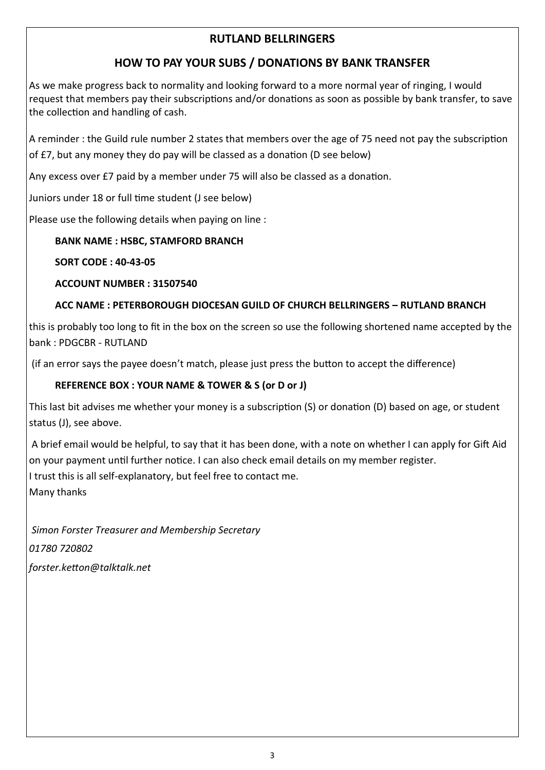# **RUTLAND BELLRINGERS**

# **HOW TO PAY YOUR SUBS / DONATIONS BY BANK TRANSFER**

As we make progress back to normality and looking forward to a more normal year of ringing, I would request that members pay their subscriptions and/or donations as soon as possible by bank transfer, to save the collection and handling of cash.

A reminder : the Guild rule number 2 states that members over the age of 75 need not pay the subscription of £7, but any money they do pay will be classed as a donation (D see below)

Any excess over £7 paid by a member under 75 will also be classed as a donation.

Juniors under 18 or full time student (J see below)

Please use the following details when paying on line :

## **BANK NAME : HSBC, STAMFORD BRANCH**

## **SORT CODE : 40-43-05**

## **ACCOUNT NUMBER : 31507540**

# **ACC NAME : PETERBOROUGH DIOCESAN GUILD OF CHURCH BELLRINGERS – RUTLAND BRANCH**

this is probably too long to fit in the box on the screen so use the following shortened name accepted by the bank : PDGCBR - RUTLAND

(if an error says the payee doesn't match, please just press the button to accept the difference)

# **REFERENCE BOX : YOUR NAME & TOWER & S (or D or J)**

This last bit advises me whether your money is a subscription (S) or donation (D) based on age, or student status (J), see above.

A brief email would be helpful, to say that it has been done, with a note on whether I can apply for Gift Aid on your payment until further notice. I can also check email details on my member register.

I trust this is all self-explanatory, but feel free to contact me.

Many thanks

*Simon Forster Treasurer and Membership Secretary* 

*01780 720802* 

*forster.ketton@talktalk.net*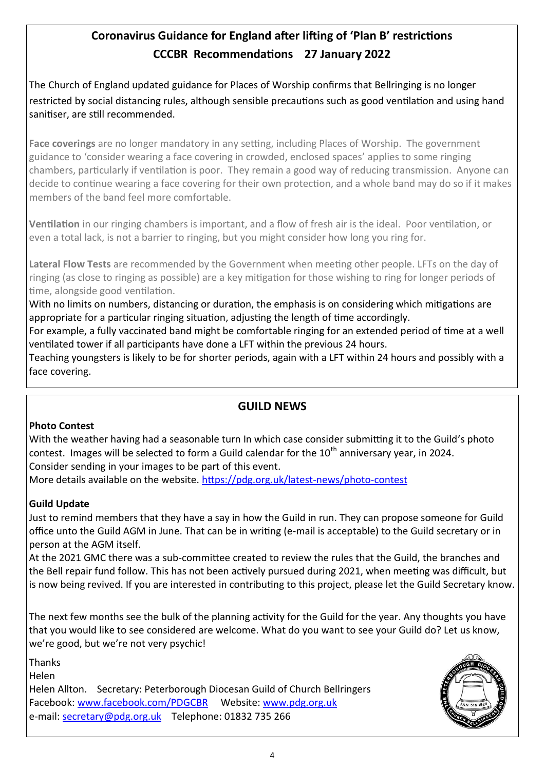# **Coronavirus Guidance for England after lifting of 'Plan B' restrictions CCCBR Recommendations 27 January 2022**

The Church of England updated guidance for Places of Worship confirms that Bellringing is no longer restricted by social distancing rules, although sensible precautions such as good ventilation and using hand sanitiser, are still recommended.

**Face coverings** are no longer mandatory in any setting, including Places of Worship. The government guidance to 'consider wearing a face covering in crowded, enclosed spaces' applies to some ringing chambers, particularly if ventilation is poor. They remain a good way of reducing transmission. Anyone can decide to continue wearing a face covering for their own protection, and a whole band may do so if it makes members of the band feel more comfortable.

**Ventilation** in our ringing chambers is important, and a flow of fresh air is the ideal. Poor ventilation, or even a total lack, is not a barrier to ringing, but you might consider how long you ring for.

**Lateral Flow Tests** are recommended by the Government when meeting other people. LFTs on the day of ringing (as close to ringing as possible) are a key mitigation for those wishing to ring for longer periods of time, alongside good ventilation.

With no limits on numbers, distancing or duration, the emphasis is on considering which mitigations are appropriate for a particular ringing situation, adjusting the length of time accordingly.

For example, a fully vaccinated band might be comfortable ringing for an extended period of time at a well ventilated tower if all participants have done a LFT within the previous 24 hours.

Teaching youngsters is likely to be for shorter periods, again with a LFT within 24 hours and possibly with a face covering.

# **GUILD NEWS**

## **Photo Contest**

With the weather having had a seasonable turn In which case consider submitting it to the Guild's photo contest. Images will be selected to form a Guild calendar for the  $10<sup>th</sup>$  anniversary year, in 2024. Consider sending in your images to be part of this event.

More details available on the website. [https://pdg.org.uk/latest](https://pdg.org.uk/latest-news/photo-contest)-news/photo-contest

# **Guild Update**

Just to remind members that they have a say in how the Guild in run. They can propose someone for Guild office unto the Guild AGM in June. That can be in writing (e-mail is acceptable) to the Guild secretary or in person at the AGM itself.

At the 2021 GMC there was a sub-committee created to review the rules that the Guild, the branches and the Bell repair fund follow. This has not been actively pursued during 2021, when meeting was difficult, but is now being revived. If you are interested in contributing to this project, please let the Guild Secretary know.

The next few months see the bulk of the planning activity for the Guild for the year. Any thoughts you have that you would like to see considered are welcome. What do you want to see your Guild do? Let us know, we're good, but we're not very psychic!

Thanks

Helen

Helen Allton. Secretary: Peterborough Diocesan Guild of Church Bellringers Facebook: [www.facebook.com/PDGCBR](http://www.facebook.com/PDGCBR)  Website: [www.pdg.org.uk](http://www.pdg.org.uk) e-mail: [secretary@pdg.org.uk](mailto:secretary@pdg.org.uk) Telephone: 01832 735 266